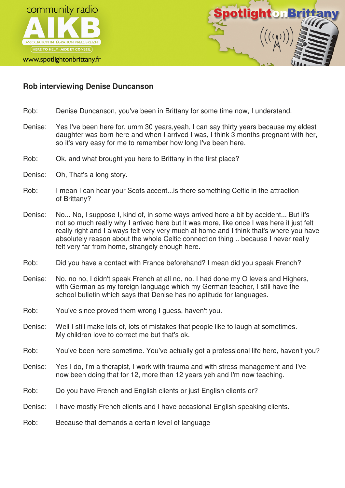



## **Rob interviewing Denise Duncanson**

- Rob: Denise Duncanson, you've been in Brittany for some time now, I understand.
- Denise: Yes I've been here for, umm 30 years,yeah, I can say thirty years because my eldest daughter was born here and when I arrived I was, I think 3 months pregnant with her, so it's very easy for me to remember how long I've been here.
- Rob: Ok, and what brought you here to Brittany in the first place?
- Denise: Oh, That's a long story.
- Rob: I mean I can hear your Scots accent...is there something Celtic in the attraction of Brittany?
- Denise: No... No, I suppose I, kind of, in some ways arrived here a bit by accident... But it's not so much really why I arrived here but it was more, like once I was here it just felt really right and I always felt very very much at home and I think that's where you have absolutely reason about the whole Celtic connection thing .. because I never really felt very far from home, strangely enough here.
- Rob: Did you have a contact with France beforehand? I mean did you speak French?
- Denise: No, no no, I didn't speak French at all no, no. I had done my O levels and Highers, with German as my foreign language which my German teacher, I still have the school bulletin which says that Denise has no aptitude for languages.
- Rob: You've since proved them wrong I guess, haven't you.
- Denise: Well I still make lots of, lots of mistakes that people like to laugh at sometimes. My children love to correct me but that's ok.
- Rob: You've been here sometime. You've actually got a professional life here, haven't you?
- Denise: Yes I do, I'm a therapist, I work with trauma and with stress management and I've now been doing that for 12, more than 12 years yeh and I'm now teaching.
- Rob: Do you have French and English clients or just English clients or?
- Denise: I have mostly French clients and I have occasional English speaking clients.
- Rob: Because that demands a certain level of language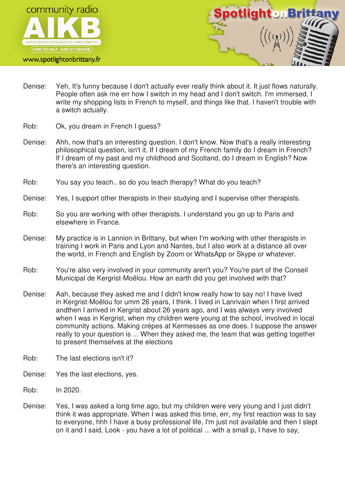

www.spotlightonbrittany.fr



- Denise: Yeh, It's funny because I don't actually ever really think about it. It just flows naturally. People often ask me err how I switch in my head and I don't switch. I'm immersed, I write my shopping lists in French to myself, and things like that. I haven't trouble with a switch actually.
- Rob: Ok, you dream in French I guess?
- Denise: Ahh, now that's an interesting question. I don't know. Now that's a really interesting philosophical question, isn't it. If I dream of my French family do I dream in French? If I dream of my past and my childhood and Scotland, do I dream in English? Now there's an interesting question.
- Rob: You say you teach.. so do you teach therapy? What do you teach?
- Denise: Yes, I support other therapists in their studying and I supervise other therapists.
- Rob: So you are working with other therapists. I understand you go up to Paris and elsewhere in France.
- Denise: My practice is in Lannion in Brittany, but when I'm working with other therapists in training I work in Paris and Lyon and Nantes, but I also work at a distance all over the world, in French and English by Zoom or WhatsApp or Skype or whatever.
- Rob: You're also very involved in your community aren't you? You're part of the Conseil Municipal de Kergrist-Moëlou. How an earth did you get involved with that?
- Denise: Aah, because they asked me and I didn't know really how to say no! I have lived in Kergrist-Moëlou for umm 26 years, I think. I lived in Lanrivain when I first arrived andthen I arrived in Kergrist about 26 years ago, and I was always very involved when I was in Kergrist, when my children were young at the school, involved in local community actions. Making crépes at Kermesses as one does. I suppose the answer really to your question is ... When they asked me, the team that was getting together to present themselves at the elections
- Rob: The last elections isn't it?
- Denise: Yes the last elections, yes.
- Rob: In 2020.
- Denise: Yes, I was asked a long time ago, but my children were very young and I just didn't think it was appropriate. When I was asked this time, err, my first reaction was to say to everyone, hhh I have a busy professional life, I'm just not available and then I slept on it and I said, Look - you have a lot of political ... with a small p, I have to say,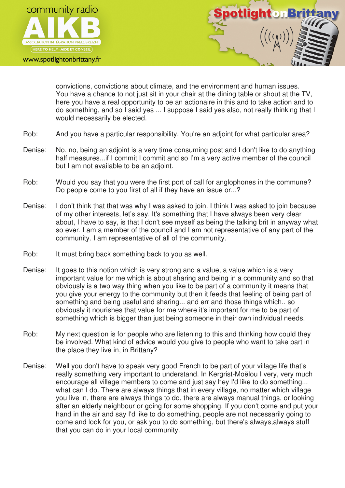

www.spotlightonbrittany.fr



convictions, convictions about climate, and the environment and human issues. You have a chance to not just sit in your chair at the dining table or shout at the TV, here you have a real opportunity to be an actionaire in this and to take action and to do something, and so I said yes ... I suppose I said yes also, not really thinking that I would necessarily be elected.

- Rob: And you have a particular responsibility. You're an adjoint for what particular area?
- Denise: No, no, being an adjoint is a very time consuming post and I don't like to do anything half measures...if I commit I commit and so I'm a very active member of the council but I am not available to be an adjoint.
- Rob: Would you say that you were the first port of call for anglophones in the commune? Do people come to you first of all if they have an issue or...?
- Denise: I don't think that that was why I was asked to join. I think I was asked to join because of my other interests, let's say. It's something that I have always been very clear about, I have to say, is that I don't see myself as being the talking brit in anyway what so ever. I am a member of the council and I am not representative of any part of the community. I am representative of all of the community.
- Rob: It must bring back something back to you as well.
- Denise: It goes to this notion which is very strong and a value, a value which is a very important value for me which is about sharing and being in a community and so that obviously is a two way thing when you like to be part of a community it means that you give your energy to the community but then it feeds that feeling of being part of something and being useful and sharing... and err and those things which.. so obviously it nourishes that value for me where it's important for me to be part of something which is bigger than just being someone in their own individual needs.
- Rob: My next question is for people who are listening to this and thinking how could they be involved. What kind of advice would you give to people who want to take part in the place they live in, in Brittany?
- Denise: Well you don't have to speak very good French to be part of your village life that's really something very important to understand. In Kergrist-Moëlou I very, very much encourage all village members to come and just say hey I'd like to do something... what can I do. There are always things that in every village, no matter which village you live in, there are always things to do, there are always manual things, or looking after an elderly neighbour or going for some shopping. If you don't come and put your hand in the air and say I'd like to do something, people are not necessarily going to come and look for you, or ask you to do something, but there's always,always stuff that you can do in your local community.